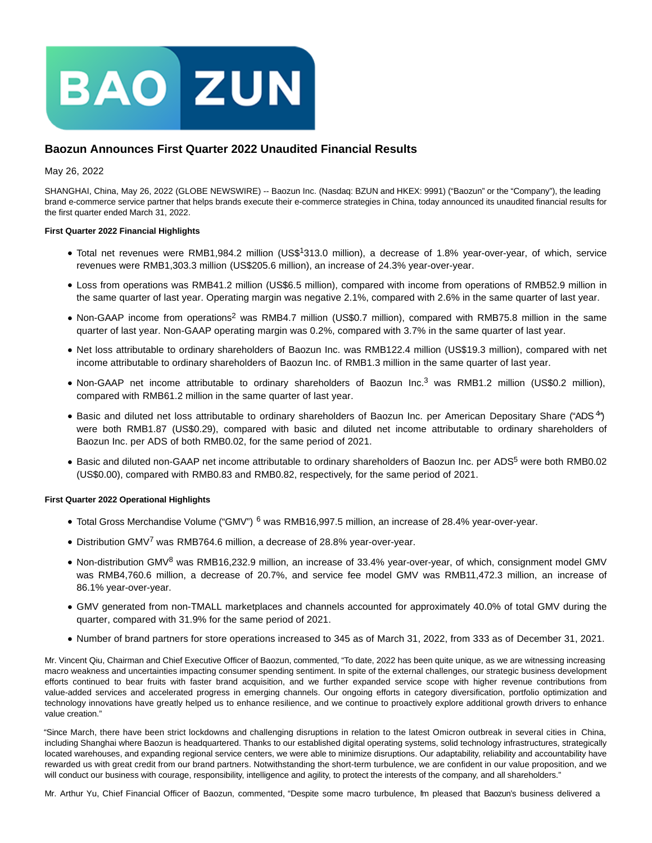

# **Baozun Announces First Quarter 2022 Unaudited Financial Results**

### May 26, 2022

SHANGHAI, China, May 26, 2022 (GLOBE NEWSWIRE) -- Baozun Inc. (Nasdaq: BZUN and HKEX: 9991) ("Baozun" or the "Company"), the leading brand e-commerce service partner that helps brands execute their e-commerce strategies in China, today announced its unaudited financial results for the first quarter ended March 31, 2022.

### **First Quarter 2022 Financial Highlights**

- Total net revenues were RMB1,984.2 million (US\$1313.0 million), a decrease of 1.8% year-over-year, of which, service revenues were RMB1,303.3 million (US\$205.6 million), an increase of 24.3% year-over-year.
- Loss from operations was RMB41.2 million (US\$6.5 million), compared with income from operations of RMB52.9 million in the same quarter of last year. Operating margin was negative 2.1%, compared with 2.6% in the same quarter of last year.
- Non-GAAP income from operations<sup>2</sup> was RMB4.7 million (US\$0.7 million), compared with RMB75.8 million in the same quarter of last year. Non-GAAP operating margin was 0.2%, compared with 3.7% in the same quarter of last year.
- Net loss attributable to ordinary shareholders of Baozun Inc. was RMB122.4 million (US\$19.3 million), compared with net income attributable to ordinary shareholders of Baozun Inc. of RMB1.3 million in the same quarter of last year.
- Non-GAAP net income attributable to ordinary shareholders of Baozun Inc.<sup>3</sup> was RMB1.2 million (US\$0.2 million), compared with RMB61.2 million in the same quarter of last year.
- Basic and diluted net loss attributable to ordinary shareholders of Baozun Inc. per American Depositary Share ("ADS<sup>4</sup>") were both RMB1.87 (US\$0.29), compared with basic and diluted net income attributable to ordinary shareholders of Baozun Inc. per ADS of both RMB0.02, for the same period of 2021.
- Basic and diluted non-GAAP net income attributable to ordinary shareholders of Baozun Inc. per ADS<sup>5</sup> were both RMB0.02 (US\$0.00), compared with RMB0.83 and RMB0.82, respectively, for the same period of 2021.

### **First Quarter 2022 Operational Highlights**

- Total Gross Merchandise Volume ("GMV") <sup>6</sup> was RMB16,997.5 million, an increase of 28.4% year-over-year.
- Distribution GMV<sup>7</sup> was RMB764.6 million, a decrease of 28.8% year-over-year.
- Non-distribution GMV<sup>8</sup> was RMB16,232.9 million, an increase of 33.4% year-over-year, of which, consignment model GMV was RMB4,760.6 million, a decrease of 20.7%, and service fee model GMV was RMB11,472.3 million, an increase of 86.1% year-over-year.
- GMV generated from non-TMALL marketplaces and channels accounted for approximately 40.0% of total GMV during the quarter, compared with 31.9% for the same period of 2021.
- Number of brand partners for store operations increased to 345 as of March 31, 2022, from 333 as of December 31, 2021.

Mr. Vincent Qiu, Chairman and Chief Executive Officer of Baozun, commented, "To date, 2022 has been quite unique, as we are witnessing increasing macro weakness and uncertainties impacting consumer spending sentiment. In spite of the external challenges, our strategic business development efforts continued to bear fruits with faster brand acquisition, and we further expanded service scope with higher revenue contributions from value-added services and accelerated progress in emerging channels. Our ongoing efforts in category diversification, portfolio optimization and technology innovations have greatly helped us to enhance resilience, and we continue to proactively explore additional growth drivers to enhance value creation."

"Since March, there have been strict lockdowns and challenging disruptions in relation to the latest Omicron outbreak in several cities in China, including Shanghai where Baozun is headquartered. Thanks to our established digital operating systems, solid technology infrastructures, strategically located warehouses, and expanding regional service centers, we were able to minimize disruptions. Our adaptability, reliability and accountability have rewarded us with great credit from our brand partners. Notwithstanding the short-term turbulence, we are confident in our value proposition, and we will conduct our business with courage, responsibility, intelligence and agility, to protect the interests of the company, and all shareholders."

Mr. Arthur Yu, Chief Financial Officer of Baozun, commented, "Despite some macro turbulence, Im pleased that Baozun's business delivered a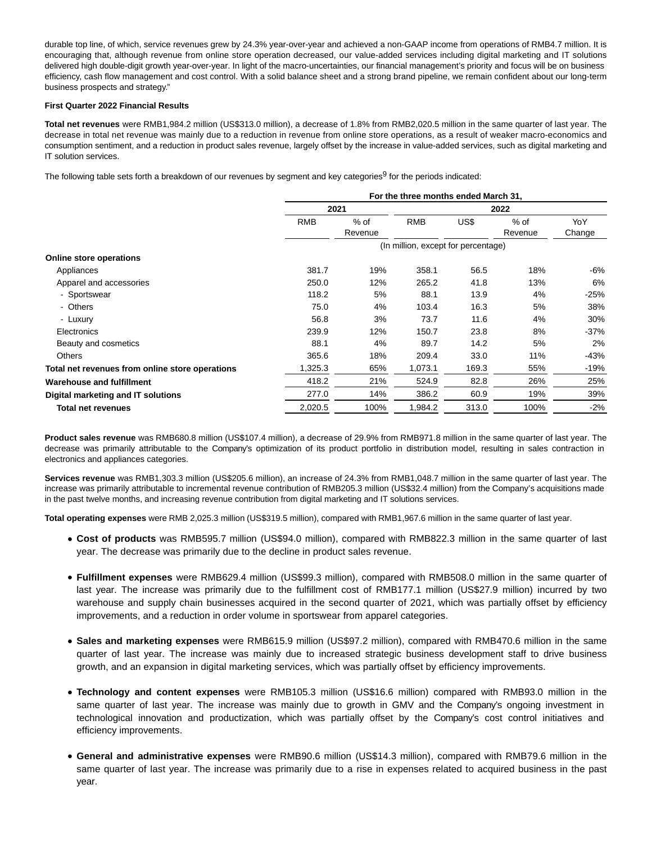durable top line, of which, service revenues grew by 24.3% year-over-year and achieved a non-GAAP income from operations of RMB4.7 million. It is encouraging that, although revenue from online store operation decreased, our value-added services including digital marketing and IT solutions delivered high double-digit growth year-over-year. In light of the macro-uncertainties, our financial management's priority and focus will be on business efficiency, cash flow management and cost control. With a solid balance sheet and a strong brand pipeline, we remain confident about our long-term business prospects and strategy."

#### **First Quarter 2022 Financial Results**

**Total net revenues** were RMB1,984.2 million (US\$313.0 million), a decrease of 1.8% from RMB2,020.5 million in the same quarter of last year. The decrease in total net revenue was mainly due to a reduction in revenue from online store operations, as a result of weaker macro-economics and consumption sentiment, and a reduction in product sales revenue, largely offset by the increase in value-added services, such as digital marketing and IT solution services.

The following table sets forth a breakdown of our revenues by segment and key categories $9$  for the periods indicated:

|                                                 | For the three months ended March 31, |                   |                                     |       |                   |               |
|-------------------------------------------------|--------------------------------------|-------------------|-------------------------------------|-------|-------------------|---------------|
|                                                 | 2021                                 |                   |                                     | 2022  |                   |               |
|                                                 | <b>RMB</b>                           | $%$ of<br>Revenue | <b>RMB</b>                          | US\$  | $%$ of<br>Revenue | YoY<br>Change |
|                                                 |                                      |                   | (In million, except for percentage) |       |                   |               |
| Online store operations                         |                                      |                   |                                     |       |                   |               |
| Appliances                                      | 381.7                                | 19%               | 358.1                               | 56.5  | 18%               | -6%           |
| Apparel and accessories                         | 250.0                                | 12%               | 265.2                               | 41.8  | 13%               | 6%            |
| - Sportswear                                    | 118.2                                | 5%                | 88.1                                | 13.9  | 4%                | $-25%$        |
| - Others                                        | 75.0                                 | 4%                | 103.4                               | 16.3  | 5%                | 38%           |
| - Luxury                                        | 56.8                                 | 3%                | 73.7                                | 11.6  | 4%                | 30%           |
| Electronics                                     | 239.9                                | 12%               | 150.7                               | 23.8  | 8%                | $-37%$        |
| Beauty and cosmetics                            | 88.1                                 | 4%                | 89.7                                | 14.2  | 5%                | 2%            |
| <b>Others</b>                                   | 365.6                                | 18%               | 209.4                               | 33.0  | 11%               | -43%          |
| Total net revenues from online store operations | 1,325.3                              | 65%               | 1,073.1                             | 169.3 | 55%               | -19%          |
| <b>Warehouse and fulfillment</b>                | 418.2                                | 21%               | 524.9                               | 82.8  | 26%               | 25%           |
| Digital marketing and IT solutions              | 277.0                                | 14%               | 386.2                               | 60.9  | 19%               | 39%           |
| <b>Total net revenues</b>                       | 2,020.5                              | 100%              | 1,984.2                             | 313.0 | 100%              | -2%           |

**Product sales revenue** was RMB680.8 million (US\$107.4 million), a decrease of 29.9% from RMB971.8 million in the same quarter of last year. The decrease was primarily attributable to the Company's optimization of its product portfolio in distribution model, resulting in sales contraction in electronics and appliances categories.

**Services revenue** was RMB1,303.3 million (US\$205.6 million), an increase of 24.3% from RMB1,048.7 million in the same quarter of last year. The increase was primarily attributable to incremental revenue contribution of RMB205.3 million (US\$32.4 million) from the Company's acquisitions made in the past twelve months, and increasing revenue contribution from digital marketing and IT solutions services.

**Total operating expenses** were RMB 2,025.3 million (US\$319.5 million), compared with RMB1,967.6 million in the same quarter of last year.

- **Cost of products** was RMB595.7 million (US\$94.0 million), compared with RMB822.3 million in the same quarter of last year. The decrease was primarily due to the decline in product sales revenue.
- **Fulfillment expenses** were RMB629.4 million (US\$99.3 million), compared with RMB508.0 million in the same quarter of last year. The increase was primarily due to the fulfillment cost of RMB177.1 million (US\$27.9 million) incurred by two warehouse and supply chain businesses acquired in the second quarter of 2021, which was partially offset by efficiency improvements, and a reduction in order volume in sportswear from apparel categories.
- **Sales and marketing expenses** were RMB615.9 million (US\$97.2 million), compared with RMB470.6 million in the same quarter of last year. The increase was mainly due to increased strategic business development staff to drive business growth, and an expansion in digital marketing services, which was partially offset by efficiency improvements.
- **Technology and content expenses** were RMB105.3 million (US\$16.6 million) compared with RMB93.0 million in the same quarter of last year. The increase was mainly due to growth in GMV and the Company's ongoing investment in technological innovation and productization, which was partially offset by the Company's cost control initiatives and efficiency improvements.
- **General and administrative expenses** were RMB90.6 million (US\$14.3 million), compared with RMB79.6 million in the same quarter of last year. The increase was primarily due to a rise in expenses related to acquired business in the past year.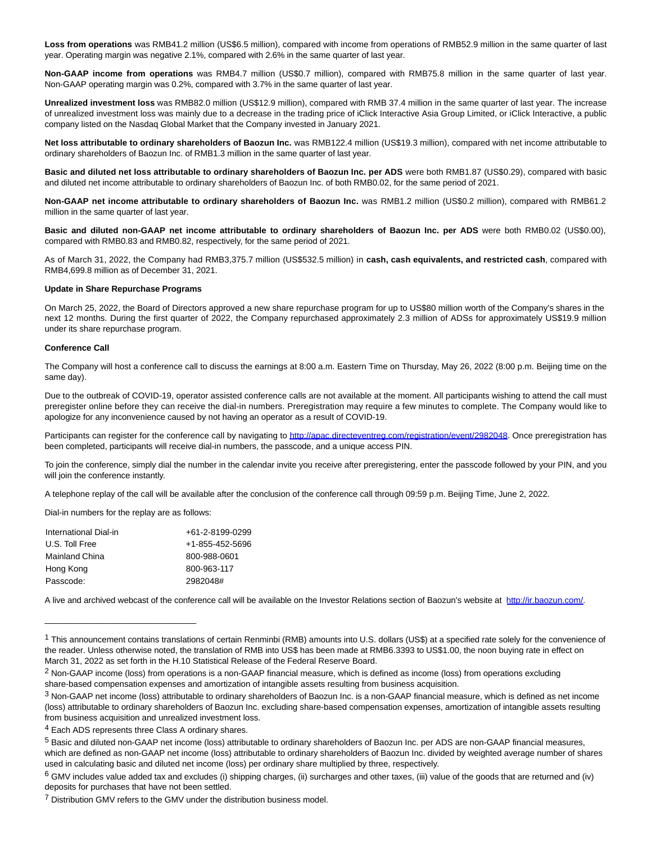**Loss from operations** was RMB41.2 million (US\$6.5 million), compared with income from operations of RMB52.9 million in the same quarter of last year. Operating margin was negative 2.1%, compared with 2.6% in the same quarter of last year.

**Non-GAAP income from operations** was RMB4.7 million (US\$0.7 million), compared with RMB75.8 million in the same quarter of last year. Non-GAAP operating margin was 0.2%, compared with 3.7% in the same quarter of last year.

**Unrealized investment loss** was RMB82.0 million (US\$12.9 million), compared with RMB 37.4 million in the same quarter of last year. The increase of unrealized investment loss was mainly due to a decrease in the trading price of iClick Interactive Asia Group Limited, or iClick Interactive, a public company listed on the Nasdaq Global Market that the Company invested in January 2021.

**Net loss attributable to ordinary shareholders of Baozun Inc.** was RMB122.4 million (US\$19.3 million), compared with net income attributable to ordinary shareholders of Baozun Inc. of RMB1.3 million in the same quarter of last year.

**Basic and diluted net loss attributable to ordinary shareholders of Baozun Inc. per ADS** were both RMB1.87 (US\$0.29), compared with basic and diluted net income attributable to ordinary shareholders of Baozun Inc. of both RMB0.02, for the same period of 2021.

**Non-GAAP net income attributable to ordinary shareholders of Baozun Inc.** was RMB1.2 million (US\$0.2 million), compared with RMB61.2 million in the same quarter of last year.

**Basic and diluted non-GAAP net income attributable to ordinary shareholders of Baozun Inc. per ADS** were both RMB0.02 (US\$0.00), compared with RMB0.83 and RMB0.82, respectively, for the same period of 2021.

As of March 31, 2022, the Company had RMB3,375.7 million (US\$532.5 million) in **cash, cash equivalents, and restricted cash**, compared with RMB4,699.8 million as of December 31, 2021.

#### **Update in Share Repurchase Programs**

On March 25, 2022, the Board of Directors approved a new share repurchase program for up to US\$80 million worth of the Company's shares in the next 12 months. During the first quarter of 2022, the Company repurchased approximately 2.3 million of ADSs for approximately US\$19.9 million under its share repurchase program.

#### **Conference Call**

The Company will host a conference call to discuss the earnings at 8:00 a.m. Eastern Time on Thursday, May 26, 2022 (8:00 p.m. Beijing time on the same day).

Due to the outbreak of COVID-19, operator assisted conference calls are not available at the moment. All participants wishing to attend the call must preregister online before they can receive the dial-in numbers. Preregistration may require a few minutes to complete. The Company would like to apologize for any inconvenience caused by not having an operator as a result of COVID-19.

Participants can register for the conference call by navigating to [http://apac.directeventreg.com/registration/event/2982048.](https://www.globenewswire.com/Tracker?data=GFrffI2OBoWICuh9rsyO8Iya8evlvx6xgHdIu55yAU9cKuPmEtmcbCpWbXi-7l2A_Vo4dUWLReW3iAqkGU7kcN8EW0vB3bt-oVQx7g9NYpos8JPAqTEavw7sRjF1JYmYiNPAk3vgWCyk9TEinuHWmM9z0u26XM8bh-j3s-AlL1p67SncvCQl9pD3uvOtCbLl) Once preregistration has been completed, participants will receive dial-in numbers, the passcode, and a unique access PIN.

To join the conference, simply dial the number in the calendar invite you receive after preregistering, enter the passcode followed by your PIN, and you will join the conference instantly.

A telephone replay of the call will be available after the conclusion of the conference call through 09:59 p.m. Beijing Time, June 2, 2022.

Dial-in numbers for the replay are as follows:

\_\_\_\_\_\_\_\_\_\_\_\_\_\_\_\_\_\_\_\_\_\_\_\_\_\_\_\_\_\_\_\_

| International Dial-in | +61-2-8199-0299         |
|-----------------------|-------------------------|
| U.S. Toll Free        | $+1 - 855 - 452 - 5696$ |
| Mainland China        | 800-988-0601            |
| Hong Kong             | 800-963-117             |
| Passcode:             | 2982048#                |
|                       |                         |

A live and archived webcast of the conference call will be available on the Investor Relations section of Baozun's website at [http://ir.baozun.com/.](https://www.globenewswire.com/Tracker?data=GFrffI2OBoWICuh9rsyO8CFz5mJHmdRuGpPTgAM6g-eurmPrT3lRQ-fqzb-qe4wluHcReG7y89lV1g8ubZwYF0xNcICQ2DmRHHZ4i1SsOUo=)

 $1$  This announcement contains translations of certain Renminbi (RMB) amounts into U.S. dollars (US\$) at a specified rate solely for the convenience of the reader. Unless otherwise noted, the translation of RMB into US\$ has been made at RMB6.3393 to US\$1.00, the noon buying rate in effect on March 31, 2022 as set forth in the H.10 Statistical Release of the Federal Reserve Board.

 $2$  Non-GAAP income (loss) from operations is a non-GAAP financial measure, which is defined as income (loss) from operations excluding share-based compensation expenses and amortization of intangible assets resulting from business acquisition.

<sup>3</sup> Non-GAAP net income (loss) attributable to ordinary shareholders of Baozun Inc. is a non-GAAP financial measure, which is defined as net income (loss) attributable to ordinary shareholders of Baozun Inc. excluding share-based compensation expenses, amortization of intangible assets resulting from business acquisition and unrealized investment loss.

<sup>4</sup> Each ADS represents three Class A ordinary shares.

<sup>5</sup> Basic and diluted non-GAAP net income (loss) attributable to ordinary shareholders of Baozun Inc. per ADS are non-GAAP financial measures, which are defined as non-GAAP net income (loss) attributable to ordinary shareholders of Baozun Inc. divided by weighted average number of shares used in calculating basic and diluted net income (loss) per ordinary share multiplied by three, respectively.

 $6$  GMV includes value added tax and excludes (i) shipping charges, (ii) surcharges and other taxes, (iii) value of the goods that are returned and (iv) deposits for purchases that have not been settled.

<sup>7</sup> Distribution GMV refers to the GMV under the distribution business model.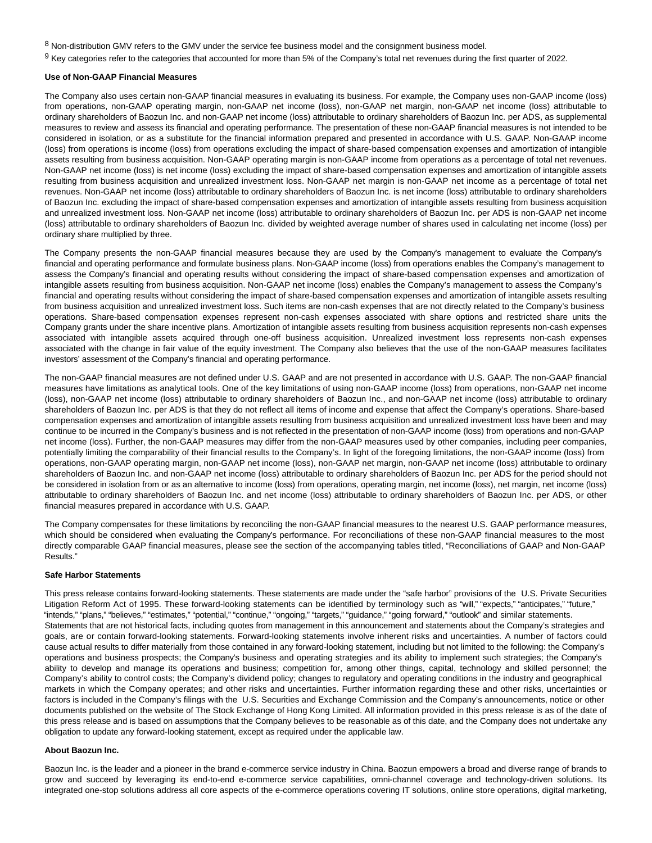8 Non-distribution GMV refers to the GMV under the service fee business model and the consignment business model.

 $9$  Key categories refer to the categories that accounted for more than 5% of the Company's total net revenues during the first quarter of 2022.

#### **Use of Non-GAAP Financial Measures**

The Company also uses certain non-GAAP financial measures in evaluating its business. For example, the Company uses non-GAAP income (loss) from operations, non-GAAP operating margin, non-GAAP net income (loss), non-GAAP net margin, non-GAAP net income (loss) attributable to ordinary shareholders of Baozun Inc. and non-GAAP net income (loss) attributable to ordinary shareholders of Baozun Inc. per ADS, as supplemental measures to review and assess its financial and operating performance. The presentation of these non-GAAP financial measures is not intended to be considered in isolation, or as a substitute for the financial information prepared and presented in accordance with U.S. GAAP. Non-GAAP income (loss) from operations is income (loss) from operations excluding the impact of share-based compensation expenses and amortization of intangible assets resulting from business acquisition. Non-GAAP operating margin is non-GAAP income from operations as a percentage of total net revenues. Non-GAAP net income (loss) is net income (loss) excluding the impact of share-based compensation expenses and amortization of intangible assets resulting from business acquisition and unrealized investment loss. Non-GAAP net margin is non-GAAP net income as a percentage of total net revenues. Non-GAAP net income (loss) attributable to ordinary shareholders of Baozun Inc. is net income (loss) attributable to ordinary shareholders of Baozun Inc. excluding the impact of share-based compensation expenses and amortization of intangible assets resulting from business acquisition and unrealized investment loss. Non-GAAP net income (loss) attributable to ordinary shareholders of Baozun Inc. per ADS is non-GAAP net income (loss) attributable to ordinary shareholders of Baozun Inc. divided by weighted average number of shares used in calculating net income (loss) per ordinary share multiplied by three.

The Company presents the non-GAAP financial measures because they are used by the Company's management to evaluate the Company's financial and operating performance and formulate business plans. Non-GAAP income (loss) from operations enables the Company's management to assess the Company's financial and operating results without considering the impact of share-based compensation expenses and amortization of intangible assets resulting from business acquisition. Non-GAAP net income (loss) enables the Company's management to assess the Company's financial and operating results without considering the impact of share-based compensation expenses and amortization of intangible assets resulting from business acquisition and unrealized investment loss. Such items are non-cash expenses that are not directly related to the Company's business operations. Share-based compensation expenses represent non-cash expenses associated with share options and restricted share units the Company grants under the share incentive plans. Amortization of intangible assets resulting from business acquisition represents non-cash expenses associated with intangible assets acquired through one-off business acquisition. Unrealized investment loss represents non-cash expenses associated with the change in fair value of the equity investment. The Company also believes that the use of the non-GAAP measures facilitates investors' assessment of the Company's financial and operating performance.

The non-GAAP financial measures are not defined under U.S. GAAP and are not presented in accordance with U.S. GAAP. The non-GAAP financial measures have limitations as analytical tools. One of the key limitations of using non-GAAP income (loss) from operations, non-GAAP net income (loss), non-GAAP net income (loss) attributable to ordinary shareholders of Baozun Inc., and non-GAAP net income (loss) attributable to ordinary shareholders of Baozun Inc. per ADS is that they do not reflect all items of income and expense that affect the Company's operations. Share-based compensation expenses and amortization of intangible assets resulting from business acquisition and unrealized investment loss have been and may continue to be incurred in the Company's business and is not reflected in the presentation of non-GAAP income (loss) from operations and non-GAAP net income (loss). Further, the non-GAAP measures may differ from the non-GAAP measures used by other companies, including peer companies, potentially limiting the comparability of their financial results to the Company's. In light of the foregoing limitations, the non-GAAP income (loss) from operations, non-GAAP operating margin, non-GAAP net income (loss), non-GAAP net margin, non-GAAP net income (loss) attributable to ordinary shareholders of Baozun Inc. and non-GAAP net income (loss) attributable to ordinary shareholders of Baozun Inc. per ADS for the period should not be considered in isolation from or as an alternative to income (loss) from operations, operating margin, net income (loss), net margin, net income (loss) attributable to ordinary shareholders of Baozun Inc. and net income (loss) attributable to ordinary shareholders of Baozun Inc. per ADS, or other financial measures prepared in accordance with U.S. GAAP.

The Company compensates for these limitations by reconciling the non-GAAP financial measures to the nearest U.S. GAAP performance measures, which should be considered when evaluating the Company's performance. For reconciliations of these non-GAAP financial measures to the most directly comparable GAAP financial measures, please see the section of the accompanying tables titled, "Reconciliations of GAAP and Non-GAAP Results."

#### **Safe Harbor Statements**

This press release contains forward-looking statements. These statements are made under the "safe harbor" provisions of the U.S. Private Securities Litigation Reform Act of 1995. These forward-looking statements can be identified by terminology such as "will," "expects," "anticipates," "future," "intends," "plans," "believes," "estimates," "potential," "continue," "ongoing," "targets," "guidance," "going forward," "outlook" and similar statements. Statements that are not historical facts, including quotes from management in this announcement and statements about the Company's strategies and goals, are or contain forward-looking statements. Forward-looking statements involve inherent risks and uncertainties. A number of factors could cause actual results to differ materially from those contained in any forward-looking statement, including but not limited to the following: the Company's operations and business prospects; the Company's business and operating strategies and its ability to implement such strategies; the Company's ability to develop and manage its operations and business; competition for, among other things, capital, technology and skilled personnel; the Company's ability to control costs; the Company's dividend policy; changes to regulatory and operating conditions in the industry and geographical markets in which the Company operates; and other risks and uncertainties. Further information regarding these and other risks, uncertainties or factors is included in the Company's filings with the U.S. Securities and Exchange Commission and the Company's announcements, notice or other documents published on the website of The Stock Exchange of Hong Kong Limited. All information provided in this press release is as of the date of this press release and is based on assumptions that the Company believes to be reasonable as of this date, and the Company does not undertake any obligation to update any forward-looking statement, except as required under the applicable law.

#### **About Baozun Inc.**

Baozun Inc. is the leader and a pioneer in the brand e-commerce service industry in China. Baozun empowers a broad and diverse range of brands to grow and succeed by leveraging its end-to-end e-commerce service capabilities, omni-channel coverage and technology-driven solutions. Its integrated one-stop solutions address all core aspects of the e-commerce operations covering IT solutions, online store operations, digital marketing,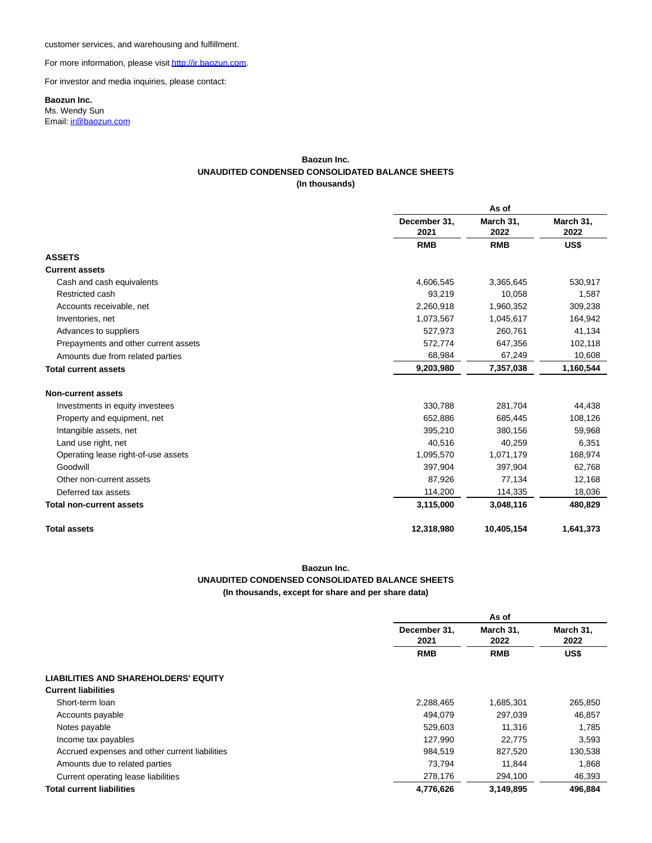customer services, and warehousing and fulfillment.

For more information, please visi[t http://ir.baozun.com.](https://www.globenewswire.com/Tracker?data=GFrffI2OBoWICuh9rsyO8EQvNjIUPWQkf17dOJpqHII4UHsNebn8ZP4EbAGZy3fNsDJikTvkXxmSC02OgI7Mkw==)

For investor and media inquiries, please contact:

## **Baozun Inc.**

Ms. Wendy Sun Email[: ir@baozun.com](mailto:ir@baozun.com)

### **Baozun Inc. UNAUDITED CONDENSED CONSOLIDATED BALANCE SHEETS (In thousands)**

|                                                                                                         |                           | As of                          |                                |           |
|---------------------------------------------------------------------------------------------------------|---------------------------|--------------------------------|--------------------------------|-----------|
|                                                                                                         | December 31,<br>2021      | March 31,<br>2022              | March 31,<br>2022              |           |
| <b>ASSETS</b><br><b>Current assets</b>                                                                  | <b>RMB</b>                | <b>RMB</b>                     | US\$                           |           |
|                                                                                                         |                           |                                |                                |           |
|                                                                                                         |                           |                                |                                |           |
| Cash and cash equivalents                                                                               | 4,606,545                 | 3,365,645                      | 530,917                        |           |
| Restricted cash                                                                                         | 93,219                    | 10,058                         | 1,587                          |           |
| Accounts receivable, net                                                                                | 2,260,918                 | 1,960,352                      | 309,238                        |           |
| Inventories, net                                                                                        | 1,073,567                 | 1,045,617                      | 164,942                        |           |
| Advances to suppliers                                                                                   | 527,973                   | 260,761                        | 41,134                         |           |
| Prepayments and other current assets<br>Amounts due from related parties<br><b>Total current assets</b> | 572,774<br>68,984         | 647,356<br>67,249<br>7,357,038 | 102,118<br>10,608<br>1,160,544 |           |
|                                                                                                         |                           |                                |                                | 9,203,980 |
|                                                                                                         | <b>Non-current assets</b> |                                |                                |           |
| Investments in equity investees                                                                         | 330,788                   | 281,704                        | 44,438                         |           |
| Property and equipment, net                                                                             | 652,886                   | 685,445                        | 108,126                        |           |
| Intangible assets, net                                                                                  | 395,210                   | 380,156                        | 59,968                         |           |
| Land use right, net                                                                                     | 40,516                    | 40,259                         | 6,351                          |           |
| Operating lease right-of-use assets                                                                     | 1,095,570                 | 1,071,179                      | 168,974                        |           |
| Goodwill                                                                                                | 397,904                   | 397,904                        | 62,768                         |           |
| Other non-current assets                                                                                | 87,926<br>114,200         | 77,134                         | 12,168                         |           |
| Deferred tax assets                                                                                     |                           | 114,335                        | 18,036                         |           |
| <b>Total non-current assets</b>                                                                         | 3,115,000                 | 3,048,116                      | 480,829                        |           |
| <b>Total assets</b>                                                                                     | 12,318,980                | 10,405,154                     | 1,641,373                      |           |

# **Baozun Inc. UNAUDITED CONDENSED CONSOLIDATED BALANCE SHEETS (In thousands, except for share and per share data)**

|                                                | As of                |                   |                   |
|------------------------------------------------|----------------------|-------------------|-------------------|
|                                                | December 31,<br>2021 | March 31,<br>2022 | March 31,<br>2022 |
|                                                | <b>RMB</b>           | <b>RMB</b>        | US\$              |
| <b>LIABILITIES AND SHAREHOLDERS' EQUITY</b>    |                      |                   |                   |
| <b>Current liabilities</b>                     |                      |                   |                   |
| Short-term loan                                | 2,288,465            | 1,685,301         | 265,850           |
| Accounts payable                               | 494.079              | 297,039           | 46,857            |
| Notes payable                                  | 529,603              | 11,316            | 1.785             |
| Income tax payables                            | 127,990              | 22.775            | 3,593             |
| Accrued expenses and other current liabilities | 984,519              | 827,520           | 130,538           |
| Amounts due to related parties                 | 73.794               | 11.844            | 1,868             |
| Current operating lease liabilities            | 278,176              | 294,100           | 46,393            |
| <b>Total current liabilities</b>               | 4,776,626            | 3,149,895         | 496,884           |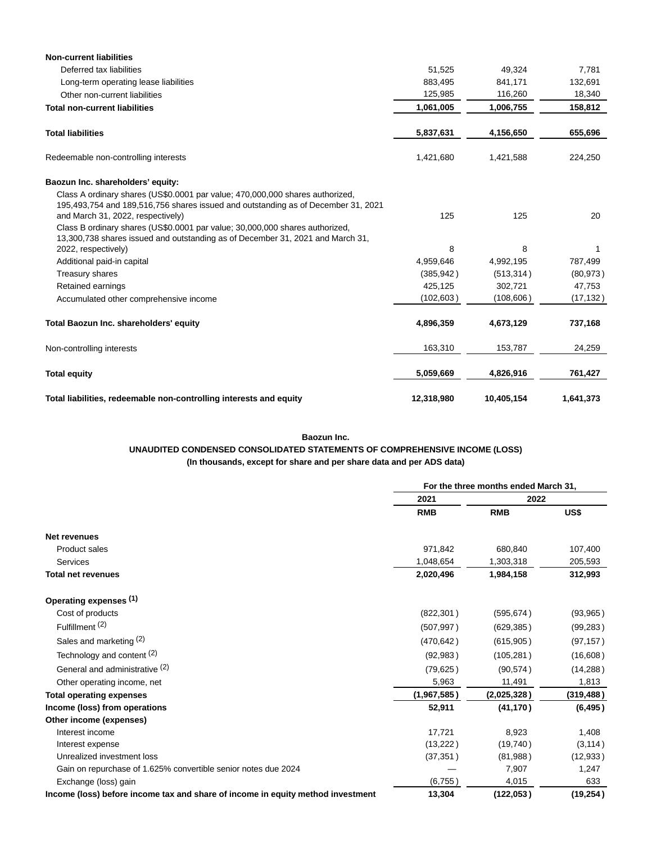| <b>Non-current liabilities</b>                                                                                                                                                                          |            |            |           |
|---------------------------------------------------------------------------------------------------------------------------------------------------------------------------------------------------------|------------|------------|-----------|
| Deferred tax liabilities                                                                                                                                                                                | 51,525     | 49,324     | 7,781     |
| Long-term operating lease liabilities                                                                                                                                                                   | 883,495    | 841,171    | 132,691   |
| Other non-current liabilities                                                                                                                                                                           | 125,985    | 116,260    | 18,340    |
| <b>Total non-current liabilities</b>                                                                                                                                                                    | 1,061,005  | 1,006,755  | 158,812   |
| <b>Total liabilities</b>                                                                                                                                                                                | 5,837,631  | 4,156,650  | 655,696   |
| Redeemable non-controlling interests                                                                                                                                                                    | 1,421,680  | 1,421,588  | 224,250   |
| Baozun Inc. shareholders' equity:                                                                                                                                                                       |            |            |           |
| Class A ordinary shares (US\$0.0001 par value; 470,000,000 shares authorized,<br>195,493,754 and 189,516,756 shares issued and outstanding as of December 31, 2021<br>and March 31, 2022, respectively) | 125        | 125        | 20        |
| Class B ordinary shares (US\$0.0001 par value; 30,000,000 shares authorized,<br>13,300,738 shares issued and outstanding as of December 31, 2021 and March 31,                                          | 8          | 8          | 1         |
| 2022, respectively)<br>Additional paid-in capital                                                                                                                                                       | 4,959,646  | 4,992,195  | 787,499   |
| Treasury shares                                                                                                                                                                                         | (385, 942) | (513, 314) | (80, 973) |
| Retained earnings                                                                                                                                                                                       | 425,125    | 302,721    | 47,753    |
| Accumulated other comprehensive income                                                                                                                                                                  | (102, 603) | (108, 606) | (17, 132) |
| Total Baozun Inc. shareholders' equity                                                                                                                                                                  | 4,896,359  | 4,673,129  | 737,168   |
| Non-controlling interests                                                                                                                                                                               | 163,310    | 153,787    | 24,259    |
| <b>Total equity</b>                                                                                                                                                                                     | 5,059,669  | 4,826,916  | 761,427   |
| Total liabilities, redeemable non-controlling interests and equity                                                                                                                                      | 12,318,980 | 10,405,154 | 1,641,373 |

### **Baozun Inc.**

# **UNAUDITED CONDENSED CONSOLIDATED STATEMENTS OF COMPREHENSIVE INCOME (LOSS)**

**(In thousands, except for share and per share data and per ADS data)**

|                                                                                 | For the three months ended March 31, |             |            |
|---------------------------------------------------------------------------------|--------------------------------------|-------------|------------|
|                                                                                 | 2021                                 | 2022        |            |
|                                                                                 | <b>RMB</b>                           | <b>RMB</b>  | US\$       |
| <b>Net revenues</b>                                                             |                                      |             |            |
| <b>Product sales</b>                                                            | 971,842                              | 680,840     | 107,400    |
| <b>Services</b>                                                                 | 1,048,654                            | 1,303,318   | 205,593    |
| <b>Total net revenues</b>                                                       | 2,020,496                            | 1,984,158   | 312,993    |
| Operating expenses (1)                                                          |                                      |             |            |
| Cost of products                                                                | (822, 301)                           | (595, 674)  | (93, 965)  |
| Fulfillment <sup>(2)</sup>                                                      | (507, 997)                           | (629, 385)  | (99, 283)  |
| Sales and marketing (2)                                                         | (470, 642)                           | (615, 905)  | (97, 157)  |
| Technology and content (2)                                                      | (92, 983)                            | (105, 281)  | (16,608)   |
| General and administrative (2)                                                  | (79, 625)                            | (90, 574)   | (14, 288)  |
| Other operating income, net                                                     | 5,963                                | 11,491      | 1,813      |
| <b>Total operating expenses</b>                                                 | (1,967,585)                          | (2,025,328) | (319, 488) |
| Income (loss) from operations                                                   | 52,911                               | (41, 170)   | (6, 495)   |
| Other income (expenses)                                                         |                                      |             |            |
| Interest income                                                                 | 17,721                               | 8,923       | 1,408      |
| Interest expense                                                                | (13,222)                             | (19,740)    | (3, 114)   |
| Unrealized investment loss                                                      | (37, 351)                            | (81,988)    | (12, 933)  |
| Gain on repurchase of 1.625% convertible senior notes due 2024                  |                                      | 7,907       | 1,247      |
| Exchange (loss) gain                                                            | (6,755)                              | 4,015       | 633        |
| Income (loss) before income tax and share of income in equity method investment | 13,304                               | (122, 053)  | (19, 254)  |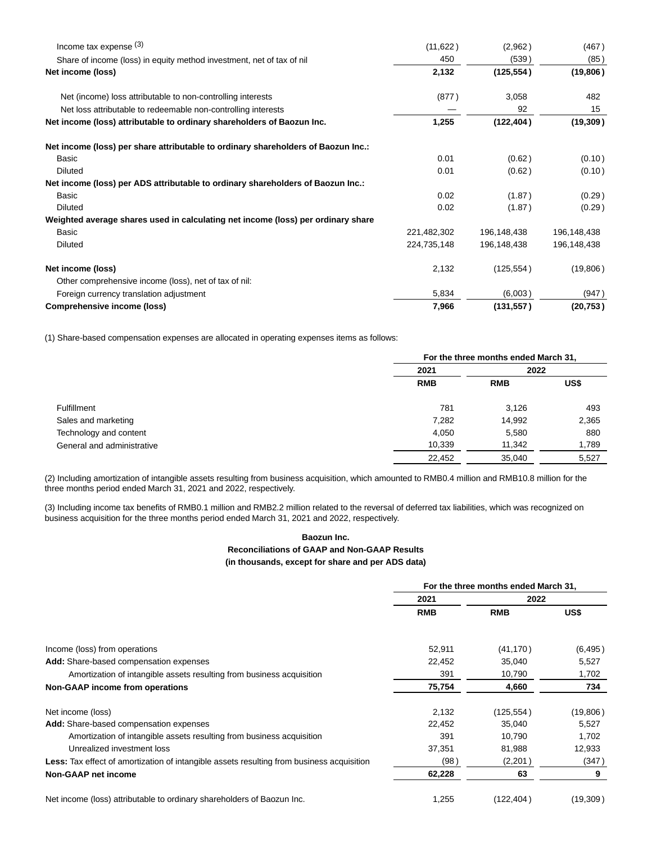| Income tax expense $(3)$                                                          | (11,622)    | (2,962)     | (467)       |
|-----------------------------------------------------------------------------------|-------------|-------------|-------------|
| Share of income (loss) in equity method investment, net of tax of nil             | 450         | (539)       | (85)        |
| Net income (loss)                                                                 | 2,132       | (125, 554)  | (19, 806)   |
| Net (income) loss attributable to non-controlling interests                       | (877)       | 3,058       | 482         |
| Net loss attributable to redeemable non-controlling interests                     |             | 92          | 15          |
| Net income (loss) attributable to ordinary shareholders of Baozun Inc.            | 1,255       | (122, 404)  | (19, 309)   |
| Net income (loss) per share attributable to ordinary shareholders of Baozun Inc.: |             |             |             |
| Basic                                                                             | 0.01        | (0.62)      | (0.10)      |
| Diluted                                                                           | 0.01        | (0.62)      | (0.10)      |
| Net income (loss) per ADS attributable to ordinary shareholders of Baozun Inc.:   |             |             |             |
| Basic                                                                             | 0.02        | (1.87)      | (0.29)      |
| <b>Diluted</b>                                                                    | 0.02        | (1.87)      | (0.29)      |
| Weighted average shares used in calculating net income (loss) per ordinary share  |             |             |             |
| Basic                                                                             | 221,482,302 | 196,148,438 | 196,148,438 |
| <b>Diluted</b>                                                                    | 224,735,148 | 196,148,438 | 196,148,438 |
| Net income (loss)                                                                 | 2,132       | (125, 554)  | (19,806)    |
| Other comprehensive income (loss), net of tax of nil:                             |             |             |             |
| Foreign currency translation adjustment                                           | 5,834       | (6,003)     | (947)       |
| Comprehensive income (loss)                                                       | 7,966       | (131, 557)  | (20, 753)   |

(1) Share-based compensation expenses are allocated in operating expenses items as follows:

|                            |            | For the three months ended March 31, |       |  |
|----------------------------|------------|--------------------------------------|-------|--|
|                            | 2021       | 2022                                 |       |  |
|                            | <b>RMB</b> | <b>RMB</b>                           | US\$  |  |
| <b>Fulfillment</b>         | 781        | 3.126                                | 493   |  |
| Sales and marketing        | 7,282      | 14,992                               | 2,365 |  |
| Technology and content     | 4,050      | 5,580                                | 880   |  |
| General and administrative | 10,339     | 11,342                               | 1,789 |  |
|                            | 22,452     | 35.040                               | 5,527 |  |

(2) Including amortization of intangible assets resulting from business acquisition, which amounted to RMB0.4 million and RMB10.8 million for the three months period ended March 31, 2021 and 2022, respectively.

(3) Including income tax benefits of RMB0.1 million and RMB2.2 million related to the reversal of deferred tax liabilities, which was recognized on business acquisition for the three months period ended March 31, 2021 and 2022, respectively.

# **Baozun Inc. Reconciliations of GAAP and Non-GAAP Results (in thousands, except for share and per ADS data)**

|                                                                                                  | For the three months ended March 31, |            |          |
|--------------------------------------------------------------------------------------------------|--------------------------------------|------------|----------|
|                                                                                                  | 2021                                 | 2022       |          |
|                                                                                                  | <b>RMB</b>                           | <b>RMB</b> | US\$     |
| Income (loss) from operations                                                                    | 52,911                               | (41, 170)  | (6, 495) |
| Add: Share-based compensation expenses                                                           | 22,452                               | 35,040     | 5,527    |
| Amortization of intangible assets resulting from business acquisition                            | 391                                  | 10,790     | 1,702    |
| Non-GAAP income from operations                                                                  | 75,754                               | 4,660      | 734      |
| Net income (loss)                                                                                | 2,132                                | (125,554)  | (19,806) |
| Add: Share-based compensation expenses                                                           | 22,452                               | 35,040     | 5,527    |
| Amortization of intangible assets resulting from business acquisition                            | 391                                  | 10,790     | 1,702    |
| Unrealized investment loss                                                                       | 37,351                               | 81,988     | 12,933   |
| <b>Less:</b> Tax effect of amortization of intangible assets resulting from business acquisition | (98)                                 | (2,201)    | (347)    |
| Non-GAAP net income                                                                              | 62,228                               | 63         | 9        |
| Net income (loss) attributable to ordinary shareholders of Baozun Inc.                           | 1,255                                | (122,404)  | (19,309) |